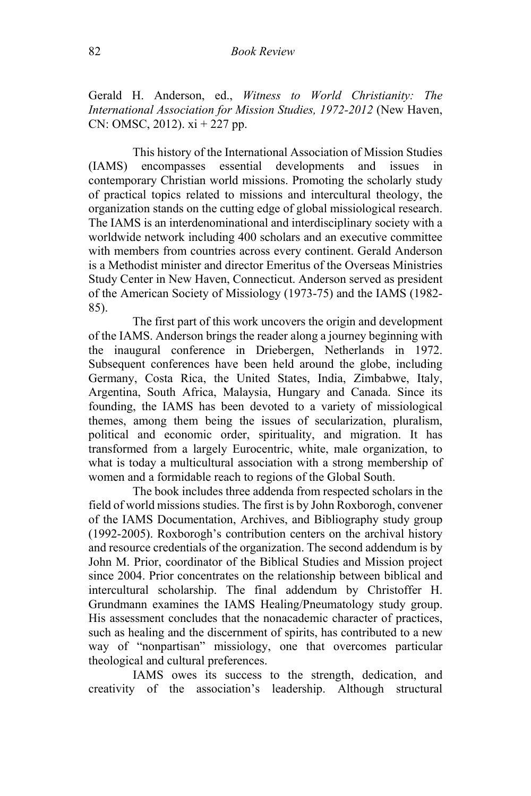Gerald H. Anderson, ed., *Witness to World Christianity: The International Association for Mission Studies, 1972-2012* (New Haven, CN: OMSC, 2012). xi + 227 pp.

This history of the International Association of Mission Studies (IAMS) encompasses essential developments and issues contemporary Christian world missions. Promoting the scholarly study of practical topics related to missions and intercultural theology, the organization stands on the cutting edge of global missiological research. The IAMS is an interdenominational and interdisciplinary society with a worldwide network including 400 scholars and an executive committee with members from countries across every continent. Gerald Anderson is a Methodist minister and director Emeritus of the Overseas Ministries Study Center in New Haven, Connecticut. Anderson served as president of the American Society of Missiology (1973-75) and the IAMS (1982- 85).

The first part of this work uncovers the origin and development of the IAMS. Anderson brings the reader along a journey beginning with the inaugural conference in Driebergen, Netherlands in 1972. Subsequent conferences have been held around the globe, including Germany, Costa Rica, the United States, India, Zimbabwe, Italy, Argentina, South Africa, Malaysia, Hungary and Canada. Since its founding, the IAMS has been devoted to a variety of missiological themes, among them being the issues of secularization, pluralism, political and economic order, spirituality, and migration. It has transformed from a largely Eurocentric, white, male organization, to what is today a multicultural association with a strong membership of women and a formidable reach to regions of the Global South.

The book includes three addenda from respected scholars in the field of world missions studies. The first is by John Roxborogh, convener of the IAMS Documentation, Archives, and Bibliography study group (1992-2005). Roxborogh's contribution centers on the archival history and resource credentials of the organization. The second addendum is by John M. Prior, coordinator of the Biblical Studies and Mission project since 2004. Prior concentrates on the relationship between biblical and intercultural scholarship. The final addendum by Christoffer H. Grundmann examines the IAMS Healing/Pneumatology study group. His assessment concludes that the nonacademic character of practices, such as healing and the discernment of spirits, has contributed to a new way of "nonpartisan" missiology, one that overcomes particular theological and cultural preferences.

IAMS owes its success to the strength, dedication, and creativity of the association's leadership. Although structural